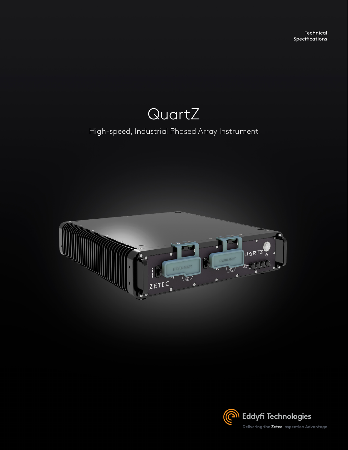

### High-speed, Industrial Phased Array Instrument



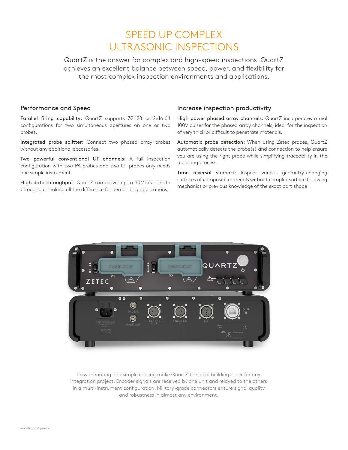## SPEED UP COMPLEX ULTRASONIC INSPECTIONS

QuartZ is the answer for complex and high-speed inspections. QuartZ achieves an excellent balance between speed, power, and flexibility for the most complex inspection environments and applications.

#### Performance and Speed

Parallel firing capability: QuartZ supports 32:128 or 2×16:64 configurations for two simultaneous apertures on one or two probes.

Integrated probe splitter: Connect two phased array probes without any additional accessories.

Two powerful conventional UT channels: A full inspection configuration with two PA probes and two UT probes only needs one simple instrument.

High data throughput: QuartZ can deliver up to 30MB/s of data throughput making all the difference for demanding applications.

#### Increase inspection productivity

High power phased array channels: QuartZ incorporates a real 100V pulser for the phased array channels, ideal for the inspection of very thick or difficult to penetrate materials.

Automatic probe detection: When using Zetec probes, QuartZ automatically detects the probe(s) and connection to help ensure you are using the right probe while simplifying traceability in the reporting process

Time reversal support: Inspect various geometry-changing surfaces of composite materials without complex surface following mechanics or previous knowledge of the exact part shape



Easy mounting and simple cabling make QuartZ the ideal building block for any integration project. Encoder signals are received by one unit and relayed to the others in a multi-instrument configuration. Military-grade connectors ensure signal quality and robustness in almost any environment.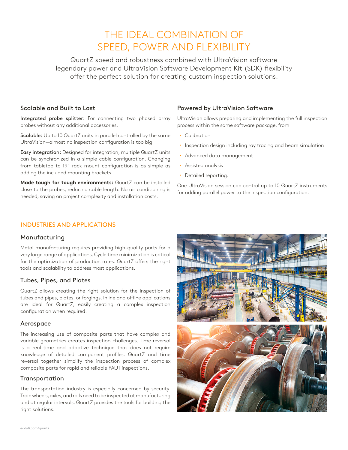## THE IDEAL COMBINATION OF SPEED, POWER AND FLEXIBILITY

QuartZ speed and robustness combined with UltraVision software legendary power and UltraVision Software Development Kit (SDK) flexibility offer the perfect solution for creating custom inspection solutions.

#### Scalable and Built to Last

Integrated probe splitter: For connecting two phased array probes without any additional accessories.

Scalable: Up to 10 QuartZ units in parallel controlled by the same UltraVision—almost no inspection configuration is too big.

Easy integration: Designed for integration, multiple QuartZ units can be synchronized in a simple cable configuration. Changing from tabletop to 19" rack mount configuration is as simple as adding the included mounting brackets.

**Made tough for tough environments:** QuartZ can be installed close to the probes, reducing cable length. No air conditioning is needed, saving on project complexity and installation costs.

#### Powered by UltraVision Software

UltraVision allows preparing and implementing the full inspection process within the same software package, from

- Calibration
- $\cdot$  Inspection design including ray tracing and beam simulation
- Advanced data management
- Assisted analysis
- Detailed reporting.

One UltraVision session can control up to 10 QuartZ instruments for adding parallel power to the inspection configuration.

#### INDUSTRIES AND APPLICATIONS

#### Manufacturing

Metal manufacturing requires providing high-quality parts for a very large range of applications. Cycle time minimization is critical for the optimization of production rates. QuartZ offers the right tools and scalability to address most applications.

#### Tubes, Pipes, and Plates

QuartZ allows creating the right solution for the inspection of tubes and pipes, plates, or forgings. Inline and offline applications are ideal for QuartZ, easily creating a complex inspection configuration when required.

#### Aerospace

The increasing use of composite parts that have complex and variable geometries creates inspection challenges. Time reversal is a real-time and adaptive technique that does not require knowledge of detailed component profiles. QuartZ and time reversal together simplify the inspection process of complex composite parts for rapid and reliable PAUT inspections.

#### **Transportation**

The transportation industry is especially concerned by security. Train wheels, axles, and rails need to be inspected at manufacturing and at regular intervals. QuartZ provides the tools for building the right solutions.